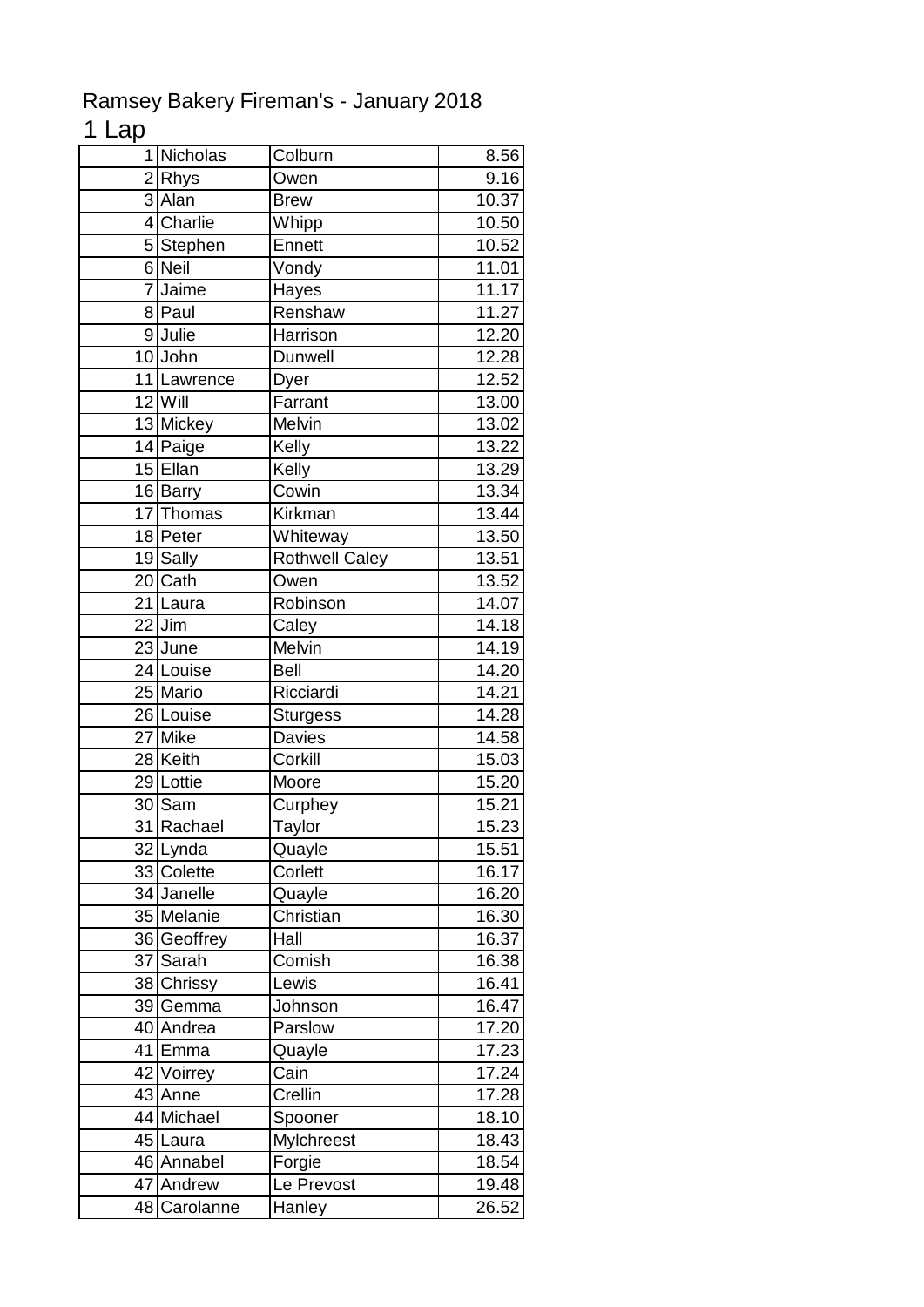## Ramsey Bakery Fireman's - January 2018

## 1 Lap

|                | 1 Nicholas           | Colburn               | 8.56               |
|----------------|----------------------|-----------------------|--------------------|
|                | 2Rhys                | Owen                  | 9.16               |
|                | $3$ Alan             | <b>Brew</b>           | 10.37              |
|                | 4 Charlie            | Whipp                 | 10.50              |
|                | 5 Stephen            | Ennett                | 10.52              |
|                | 6 Neil               | Vondy                 | 11.01              |
| $\overline{7}$ | Jaime                | Hayes                 | $11.\overline{17}$ |
|                | 8 Paul               | Renshaw               | 11.27              |
|                | 9 Julie              | Harrison              | 12.20              |
|                | 10 John              | <b>Dunwell</b>        | 12.28              |
|                | 11 Lawrence          | Dyer                  | 12.52              |
|                | $12$ Will            | Farrant               | 13.00              |
|                | 13 Mickey            | Melvin                | $13.\overline{02}$ |
|                | 14 Paige             | Kelly                 | 13.22              |
|                | 15 Ellan             | Kelly                 | 13.29              |
|                | 16 Barry             | Cowin                 | 13.34              |
|                | 17 Thomas            | Kirkman               | 13.44              |
|                | 18 Peter             | Whiteway              | 13.50              |
|                | 19 Sally             | <b>Rothwell Caley</b> | 13.51              |
|                | 20 Cath              | Owen                  | 13.52              |
|                | 21 Laura             | Robinson              | 14.07              |
|                | $22$ Jim             | Caley                 | 14.18              |
|                | $\overline{2}3$ June | Melvin                | 14.19              |
|                | 24 Louise            | <b>Bell</b>           | 14.20              |
|                | 25 Mario             | Ricciardi             | 14.21              |
|                | 26 Louise            | <b>Sturgess</b>       | 14.28              |
|                | 27 Mike              | Davies                | 14.58              |
|                | 28 Keith             | Corkill               | 15.03              |
|                | 29 Lottie            | Moore                 | 15.20              |
|                | 30 Sam               | Curphey               | 15.21              |
|                | 31 Rachael           | Taylor                | 15.23              |
|                | 32 Lynda             | Quayle                | 15.51              |
|                | 33 Colette           | Corlett               | 16.17              |
|                | 34 Janelle           | Quayle                | 16.20              |
|                | 35 Melanie           | Christian             | 16.30              |
|                | 36 Geoffrey          | Hall                  | 16.37              |
|                | 37 Sarah             | Comish                | 16.38              |
|                | 38 Chrissy           | Lewis                 | 16.41              |
|                | 39 Gemma             | Johnson               | 16.47              |
|                | 40 Andrea            | Parslow               | 17.20              |
|                | 41 Emma              | Quayle                | 17.23              |
|                | 42 Voirrey           | Cain                  | 17.24              |
|                | 43 Anne              | Crellin               | 17.28              |
|                | 44 Michael           | Spooner               | 18.10              |
|                | 45 Laura             | Mylchreest            | 18.43              |
|                | 46 Annabel           | Forgie                | 18.54              |
|                | 47 Andrew            | Le Prevost            | 19.48              |
|                | 48 Carolanne         | Hanley                | 26.52              |
|                |                      |                       |                    |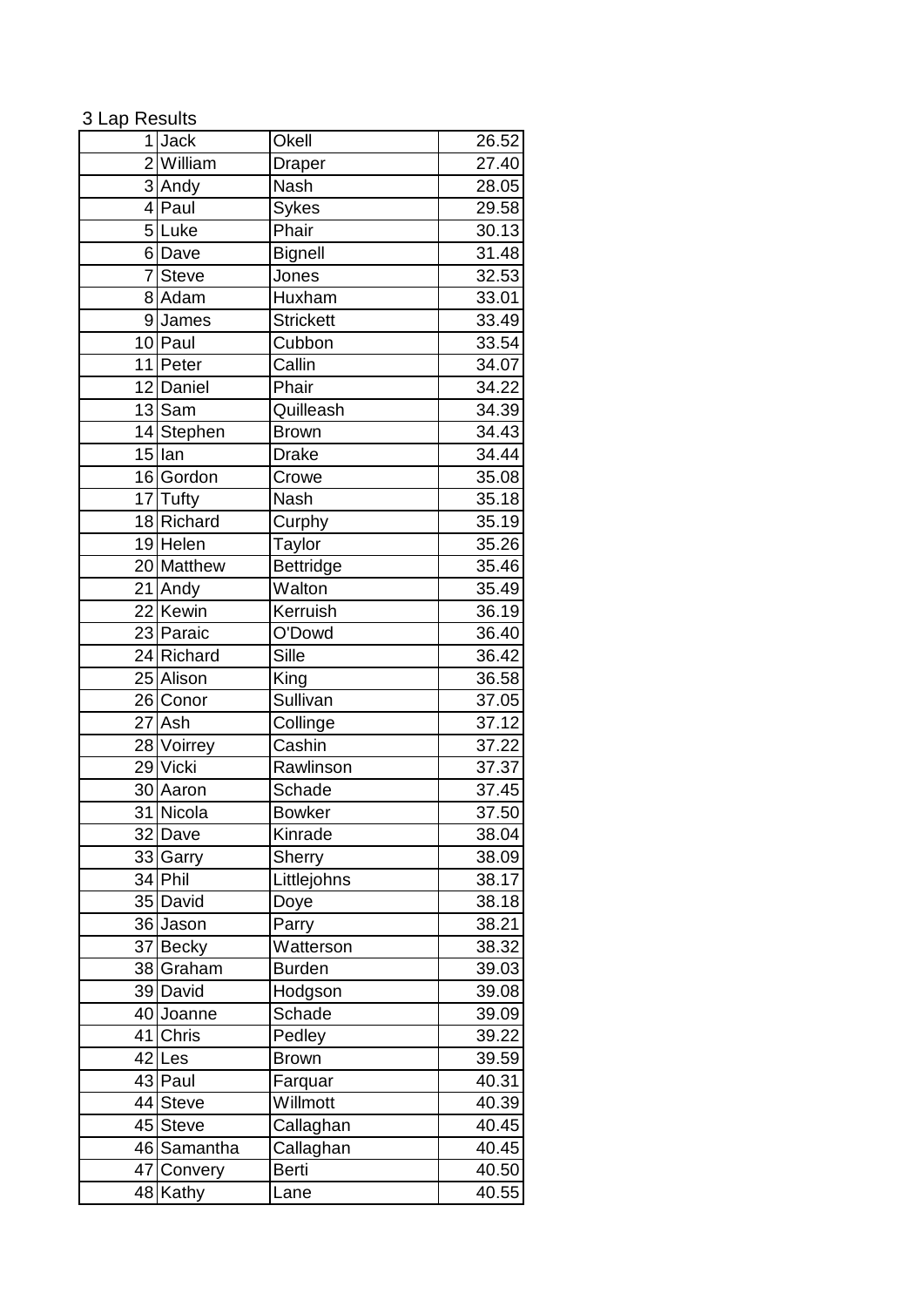## 3 Lap Results

| 1 <sup>1</sup>         | <b>Jack</b>           | Okell            | 26.52              |
|------------------------|-----------------------|------------------|--------------------|
| $\mathsf{2}\mathsf{l}$ | William               | Draper           | 27.40              |
|                        | 3 Andy                | <b>Nash</b>      | 28.05              |
| $\overline{4}$         | Paul                  | <b>Sykes</b>     | 29.58              |
|                        | 5Luke                 | Phair            | 30.13              |
|                        | 6Dave                 | <b>Bignell</b>   | 31.48              |
| $7\vert$               | <b>Steve</b>          | Jones            | 32.53              |
|                        | 8 Adam                | Huxham           | 33.01              |
|                        | 9James                | <b>Strickett</b> | 33.49              |
|                        | 10 Paul               | Cubbon           | 33.54              |
|                        | 11 Peter              | Callin           | 34.07              |
|                        | 12 Daniel             | Phair            | 34.22              |
|                        | $\overline{13}$ Sam   | Quilleash        | 34.39              |
|                        | 14 Stephen            | <b>Brown</b>     | 34.43              |
|                        | $15$ lan              | <b>Drake</b>     | 34.44              |
|                        | 16 Gordon             | Crowe            | 35.08              |
|                        | 17 Tufty              | Nash             | 35.18              |
|                        | 18 Richard            | Curphy           | 35.19              |
|                        | 19 Helen              | <b>Taylor</b>    | 35.26              |
|                        | 20 Matthew            | Bettridge        | 35.46              |
|                        | 21 Andy               | Walton           | 35.49              |
|                        | 22 Kewin              | Kerruish         | 36.19              |
|                        | 23 Paraic             | O'Dowd           | 36.40              |
|                        | 24 Richard            | Sille            | 36.42              |
|                        | 25 Alison             | King             | 36.58              |
|                        | 26 Conor              | Sullivan         | 37.05              |
|                        | 27 Ash                | Collinge         | 37.12              |
|                        | 28 Voirrey            | Cashin           | 37.22              |
|                        | $\overline{29}$ Vicki | Rawlinson        | 37.37              |
|                        | 30 Aaron              | Schade           | 37.45              |
|                        | 31 Nicola             | <b>Bowker</b>    | $\overline{37.50}$ |
|                        | 32 Dave               | Kinrade          | 38.04              |
|                        | 33 Garry              | Sherry           | 38.09              |
|                        | 34 Phil               | Littlejohns      | 38.17              |
|                        | 35 David              | Doye             | 38.18              |
|                        | 36 Jason              | Parry            | 38.21              |
|                        | 37 Becky              | Watterson        | 38.32              |
|                        | 38 Graham             | <b>Burden</b>    | 39.03              |
|                        | 39 David              | Hodgson          | 39.08              |
|                        | 40 Joanne             | Schade           | 39.09              |
|                        | 41 Chris              | Pedley           | 39.22              |
|                        | 42 Les                | <b>Brown</b>     | 39.59              |
|                        | 43 Paul               | Farquar          | 40.31              |
|                        | 44 Steve              | Willmott         | 40.39              |
|                        | 45 Steve              | Callaghan        | 40.45              |
|                        | 46 Samantha           | Callaghan        | 40.45              |
|                        | 47 Convery            | <b>Berti</b>     | 40.50              |
|                        | 48 Kathy              | Lane             | 40.55              |